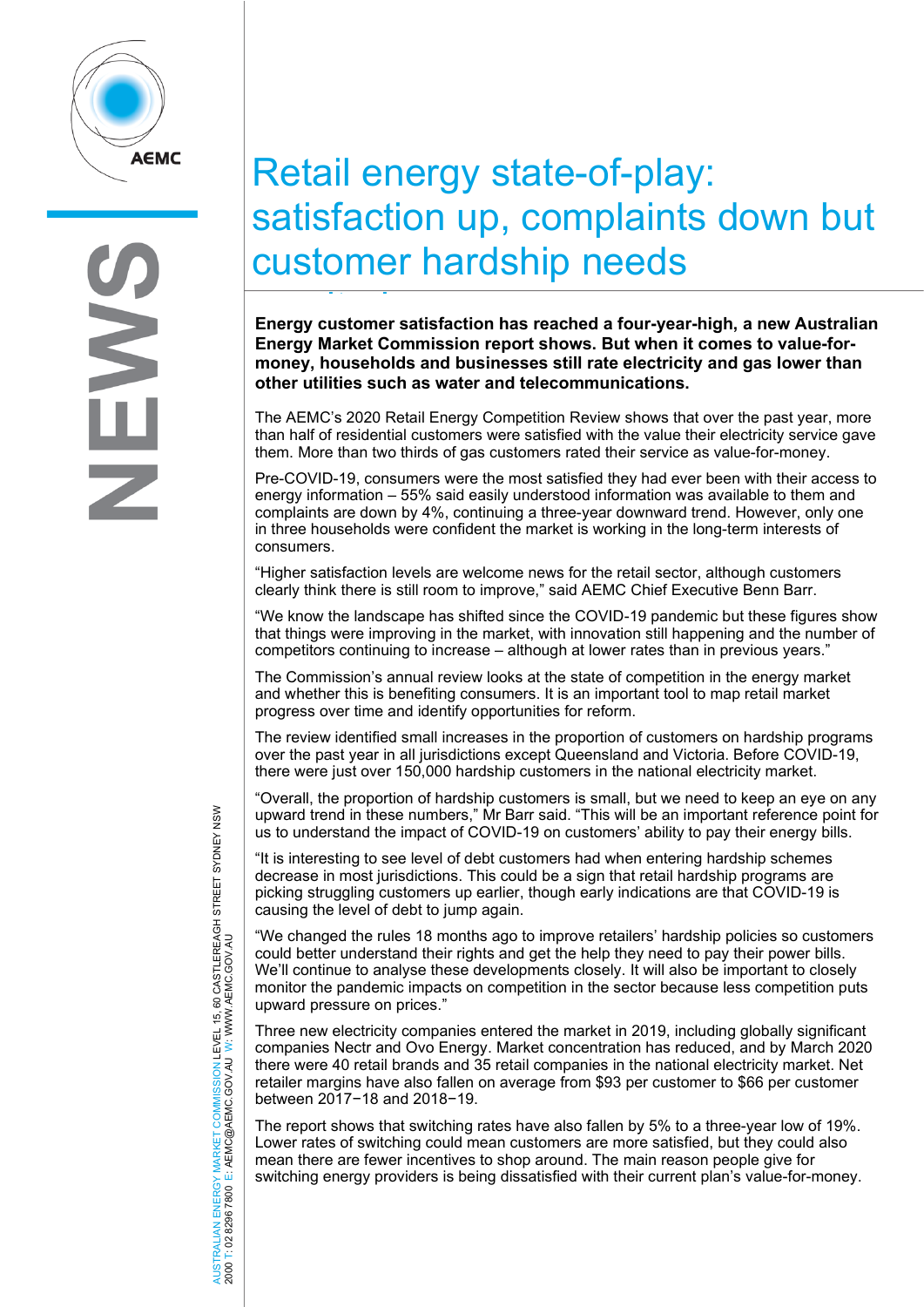

# Retail energy state-of-play: satisfaction up, complaints down but customer hardship needs

**Energy customer satisfaction has reached a four-year-high, a new Australian**  it i**Energy Market Commission report shows. But when it comes to value-formoney, households and businesses still rate electricity and gas lower than other utilities such as water and telecommunications.**

The AEMC's 2020 Retail Energy Competition Review shows that over the past year, more than half of residential customers were satisfied with the value their electricity service gave them. More than two thirds of gas customers rated their service as value-for-money.

Pre-COVID-19, consumers were the most satisfied they had ever been with their access to energy information – 55% said easily understood information was available to them and complaints are down by 4%, continuing a three-year downward trend. However, only one in three households were confident the market is working in the long-term interests of consumers.

"Higher satisfaction levels are welcome news for the retail sector, although customers clearly think there is still room to improve," said AEMC Chief Executive Benn Barr.

"We know the landscape has shifted since the COVID-19 pandemic but these figures show that things were improving in the market, with innovation still happening and the number of competitors continuing to increase – although at lower rates than in previous years."

The Commission's annual review looks at the state of competition in the energy market and whether this is benefiting consumers. It is an important tool to map retail market progress over time and identify opportunities for reform.

The review identified small increases in the proportion of customers on hardship programs over the past year in all jurisdictions except Queensland and Victoria. Before COVID-19, there were just over 150,000 hardship customers in the national electricity market.

"Overall, the proportion of hardship customers is small, but we need to keep an eye on any upward trend in these numbers," Mr Barr said. "This will be an important reference point for us to understand the impact of COVID-19 on customers' ability to pay their energy bills.

"It is interesting to see level of debt customers had when entering hardship schemes decrease in most jurisdictions. This could be a sign that retail hardship programs are picking struggling customers up earlier, though early indications are that COVID-19 is causing the level of debt to jump again.

"We changed the rules 18 months ago to improve retailers' hardship policies so customers could better understand their rights and get the help they need to pay their power bills. We'll continue to analyse these developments closely. It will also be important to closely monitor the pandemic impacts on competition in the sector because less competition puts upward pressure on prices."

Three new electricity companies entered the market in 2019, including globally significant companies Nectr and Ovo Energy. Market concentration has reduced, and by March 2020 there were 40 retail brands and 35 retail companies in the national electricity market. Net retailer margins have also fallen on average from \$93 per customer to \$66 per customer between 2017−18 and 2018−19.

The report shows that switching rates have also fallen by 5% to a three-year low of 19%. Lower rates of switching could mean customers are more satisfied, but they could also mean there are fewer incentives to shop around. The main reason people give for switching energy providers is being dissatisfied with their current plan's value-for-money.

AUSTRALIAN ENERGY MARKET COMMISSION LEVEL 15, 60 CASTLEREAGH STREET SYDNEY NSW<br>2000 T: 02 8296 7800 E: AEMC@AEMC.GOV.AU W: WWW.AEMC.GOV.AU AUSTRALIAN ENERGY MARKET COMMISSION LEVEL 15, 60 CASTLEREAGH STREET SYDNEY NSW W: WWW.AEMC.GOV.AU 2000 T: 02 8296 7800 E: AEMC@AEMC.GOV.AU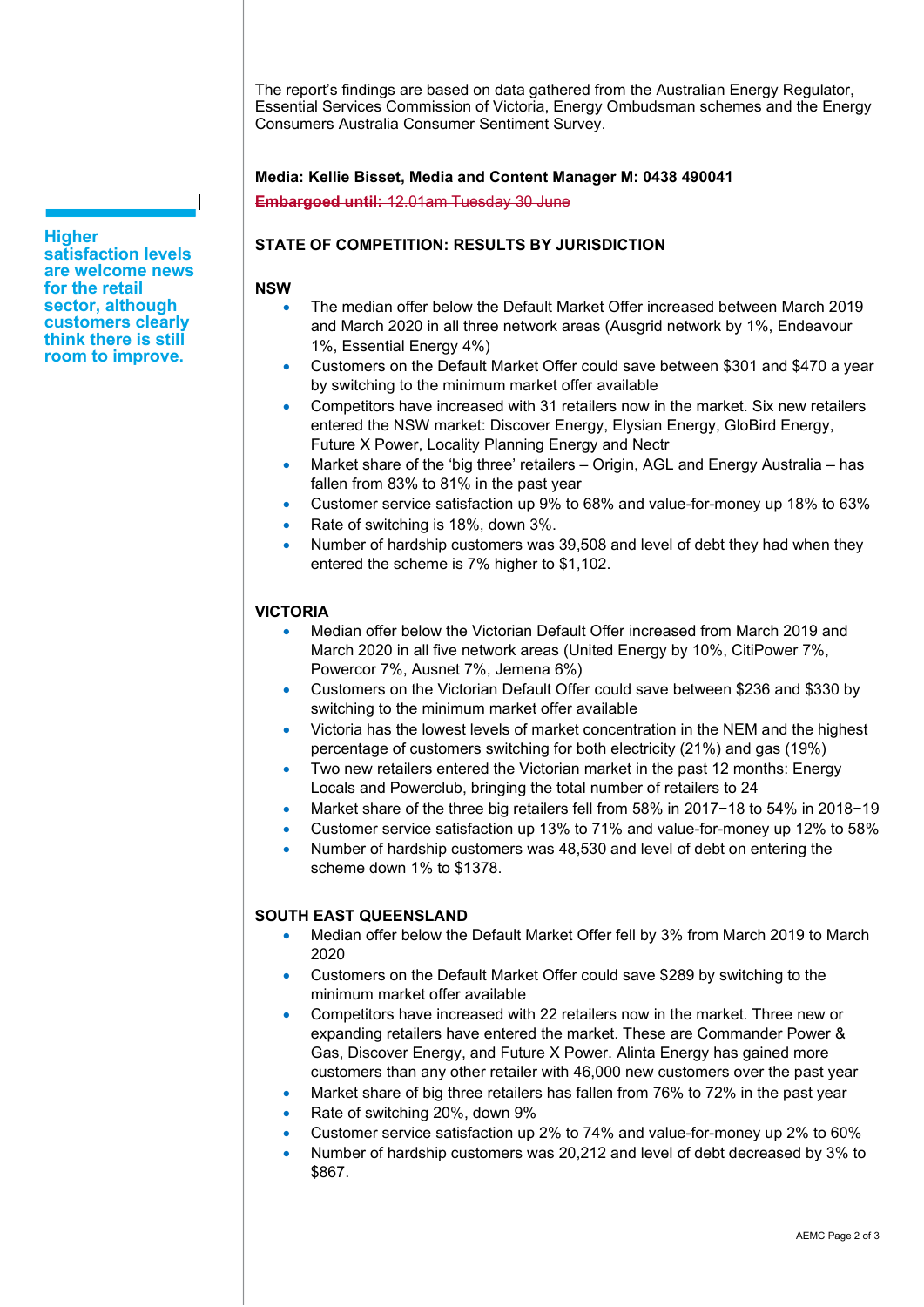The report's findings are based on data gathered from the Australian Energy Regulator, Essential Services Commission of Victoria, Energy Ombudsman schemes and the Energy Consumers Australia Consumer Sentiment Survey.

## **Media: Kellie Bisset, Media and Content Manager M: 0438 490041**

**Embargoed until:** 12.01am Tuesday 30 June

# **STATE OF COMPETITION: RESULTS BY JURISDICTION**

## **NSW**

- The median offer below the Default Market Offer increased between March 2019 and March 2020 in all three network areas (Ausgrid network by 1%, Endeavour 1%, Essential Energy 4%)
- Customers on the Default Market Offer could save between \$301 and \$470 a year by switching to the minimum market offer available
- Competitors have increased with 31 retailers now in the market. Six new retailers entered the NSW market: Discover Energy, Elysian Energy, GloBird Energy, Future X Power, Locality Planning Energy and Nectr
- Market share of the 'big three' retailers Origin, AGL and Energy Australia has fallen from 83% to 81% in the past year
- Customer service satisfaction up 9% to 68% and value-for-money up 18% to 63%
- Rate of switching is 18%, down 3%.
- Number of hardship customers was 39,508 and level of debt they had when they entered the scheme is 7% higher to \$1,102.

# **VICTORIA**

- Median offer below the Victorian Default Offer increased from March 2019 and March 2020 in all five network areas (United Energy by 10%, CitiPower 7%, Powercor 7%, Ausnet 7%, Jemena 6%)
- Customers on the Victorian Default Offer could save between \$236 and \$330 by switching to the minimum market offer available
- Victoria has the lowest levels of market concentration in the NEM and the highest percentage of customers switching for both electricity (21%) and gas (19%)
- Two new retailers entered the Victorian market in the past 12 months: Energy Locals and Powerclub, bringing the total number of retailers to 24
- Market share of the three big retailers fell from 58% in 2017−18 to 54% in 2018−19
- Customer service satisfaction up 13% to 71% and value-for-money up 12% to 58%
- Number of hardship customers was 48,530 and level of debt on entering the scheme down 1% to \$1378.

# **SOUTH EAST QUEENSLAND**

- Median offer below the Default Market Offer fell by 3% from March 2019 to March 2020
- Customers on the Default Market Offer could save \$289 by switching to the minimum market offer available
- Competitors have increased with 22 retailers now in the market. Three new or expanding retailers have entered the market. These are Commander Power & Gas, Discover Energy, and Future X Power. Alinta Energy has gained more customers than any other retailer with 46,000 new customers over the past year
- Market share of big three retailers has fallen from 76% to 72% in the past year
- Rate of switching 20%, down 9%
- Customer service satisfaction up 2% to 74% and value-for-money up 2% to 60%
- Number of hardship customers was 20,212 and level of debt decreased by 3% to \$867.

**Higher satisfaction levels are welcome news for the retail sector, although customers clearly think there is still room to improve.**